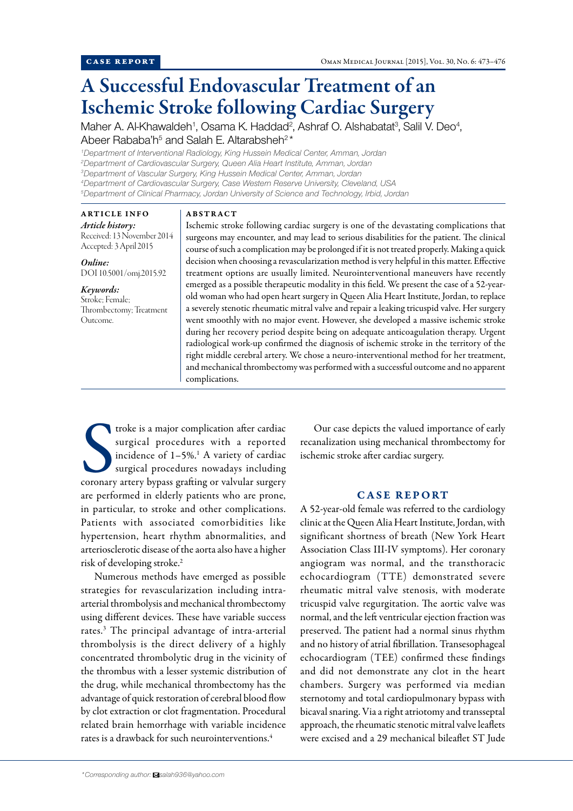# A Successful Endovascular Treatment of an Ischemic Stroke following Cardiac Surgery

Maher A. Al-Khawaldeh<sup>1</sup>, Osama K. Haddad<sup>2</sup>, Ashraf O. Alshabatat<sup>3</sup>, Salil V. Deo<sup>4</sup>, Abeer Rababa'h<sup>5</sup> and Salah E. Altarabsheh<sup>2\*</sup>

 *Department of Interventional Radiology, King Hussein Medical Center, Amman, Jordan Department of Cardiovascular Surgery, Queen Alia Heart Institute, Amman, Jordan Department of Vascular Surgery, King Hussein Medical Center, Amman, Jordan Department of Cardiovascular Surgery, Case Western Reserve University, Cleveland, USA Department of Clinical Pharmacy, Jordan University of Science and Technology, Irbid, Jordan*

ARTICLE INFO *Article history:*  Received: 13 November 2014 Accepted: 3 April 2015

*Online:* DOI 10.5001/omj.2015.92

*Keywords:*  Stroke; Female; Thrombectomy; Treatment Outcome.

### ABSTRACT

Ischemic stroke following cardiac surgery is one of the devastating complications that surgeons may encounter, and may lead to serious disabilities for the patient. The clinical course of such a complication may be prolonged if it is not treated properly. Making a quick decision when choosing a revascularization method is very helpful in this matter. Effective treatment options are usually limited. Neurointerventional maneuvers have recently emerged as a possible therapeutic modality in this field. We present the case of a 52-yearold woman who had open heart surgery in Queen Alia Heart Institute, Jordan, to replace a severely stenotic rheumatic mitral valve and repair a leaking tricuspid valve. Her surgery went smoothly with no major event. However, she developed a massive ischemic stroke during her recovery period despite being on adequate anticoagulation therapy. Urgent radiological work-up confirmed the diagnosis of ischemic stroke in the territory of the right middle cerebral artery. We chose a neuro-interventional method for her treatment, and mechanical thrombectomy was performed with a successful outcome and no apparent complications.

Troke is a major complication after cardiac<br>
surgical procedures with a reported<br>
incidence of 1-5%.<sup>1</sup> A variety of cardiac<br>
surgical procedures nowadays including<br>
coronary artery bypass grafting or valvular surgery troke is a major complication after cardiac surgical procedures with a reported incidence of  $1-5\%$ .<sup>1</sup> A variety of cardiac surgical procedures nowadays including are performed in elderly patients who are prone, in particular, to stroke and other complications. Patients with associated comorbidities like hypertension, heart rhythm abnormalities, and arteriosclerotic disease of the aorta also have a higher risk of developing stroke.2

Numerous methods have emerged as possible strategies for revascularization including intraarterial thrombolysis and mechanical thrombectomy using different devices. These have variable success rates.3 The principal advantage of intra-arterial thrombolysis is the direct delivery of a highly concentrated thrombolytic drug in the vicinity of the thrombus with a lesser systemic distribution of the drug, while mechanical thrombectomy has the advantage of quick restoration of cerebral blood flow by clot extraction or clot fragmentation. Procedural related brain hemorrhage with variable incidence rates is a drawback for such neurointerventions.4

Our case depicts the valued importance of early recanalization using mechanical thrombectomy for ischemic stroke after cardiac surgery.

## CASE REPORT

A 52-year-old female was referred to the cardiology clinic at the Queen Alia Heart Institute, Jordan, with significant shortness of breath (New York Heart Association Class III-IV symptoms). Her coronary angiogram was normal, and the transthoracic echocardiogram (TTE) demonstrated severe rheumatic mitral valve stenosis, with moderate tricuspid valve regurgitation. The aortic valve was normal, and the left ventricular ejection fraction was preserved. The patient had a normal sinus rhythm and no history of atrial fibrillation. Transesophageal echocardiogram (TEE) confirmed these findings and did not demonstrate any clot in the heart chambers. Surgery was performed via median sternotomy and total cardiopulmonary bypass with bicaval snaring. Via a right atriotomy and transseptal approach, the rheumatic stenotic mitral valve leaflets were excised and a 29 mechanical bileaflet ST Jude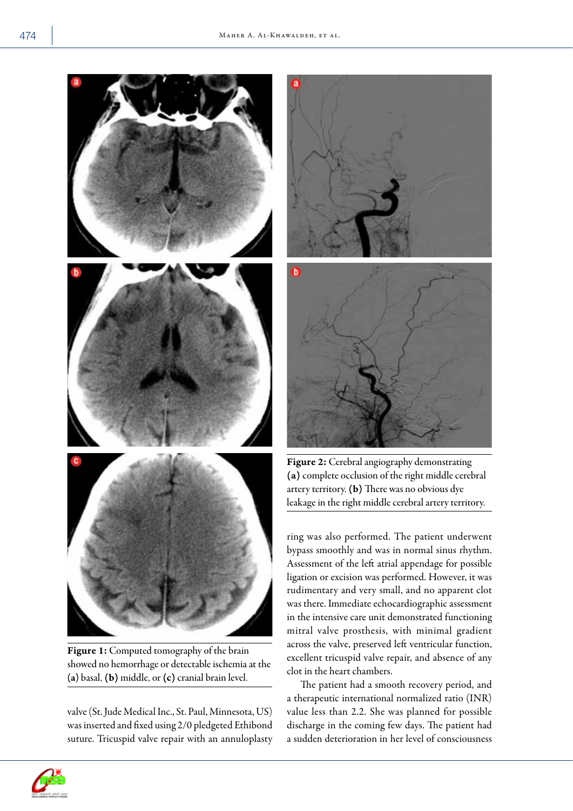

Figure 1: Computed tomography of the brain showed no hemorrhage or detectable ischemia at the (a) basal, (b) middle, or (c) cranial brain level.

valve (St. Jude Medical Inc., St. Paul, Minnesota, US) was inserted and fixed using 2/0 pledgeted Ethibond suture. Tricuspid valve repair with an annuloplasty





Figure 2: Cerebral angiography demonstrating (a) complete occlusion of the right middle cerebral artery territory. (b) There was no obvious dye leakage in the right middle cerebral artery territory.

ring was also performed. The patient underwent bypass smoothly and was in normal sinus rhythm. Assessment of the left atrial appendage for possible ligation or excision was performed. However, it was rudimentary and very small, and no apparent clot was there. Immediate echocardiographic assessment in the intensive care unit demonstrated functioning mitral valve prosthesis, with minimal gradient across the valve, preserved left ventricular function, excellent tricuspid valve repair, and absence of any clot in the heart chambers.

The patient had a smooth recovery period, and a therapeutic international normalized ratio (INR) value less than 2.2. She was planned for possible discharge in the coming few days. The patient had a sudden deterioration in her level of consciousness

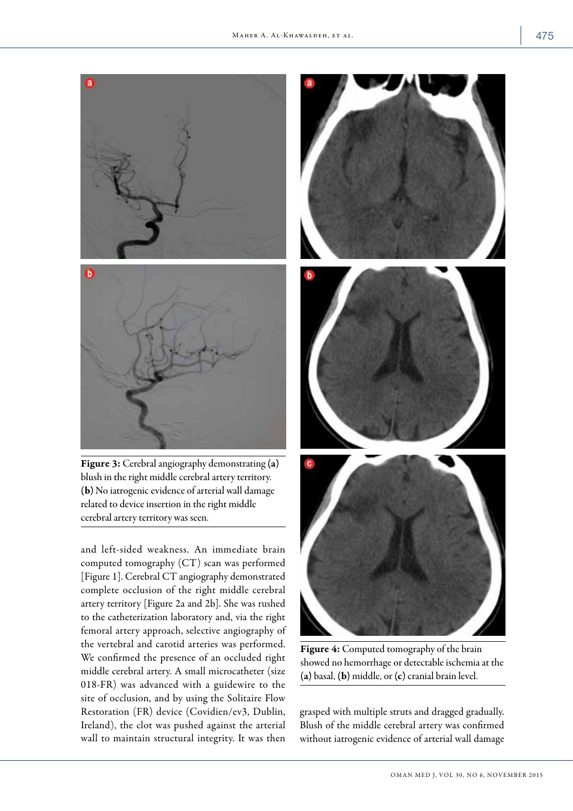

Figure 3: Cerebral angiography demonstrating (a) blush in the right middle cerebral artery territory. (b) No iatrogenic evidence of arterial wall damage related to device insertion in the right middle cerebral artery territory was seen.

and left-sided weakness. An immediate brain computed tomography (CT) scan was performed [Figure 1]. Cerebral CT angiography demonstrated complete occlusion of the right middle cerebral artery territory [Figure 2a and 2b]. She was rushed to the catheterization laboratory and, via the right femoral artery approach, selective angiography of the vertebral and carotid arteries was performed. We confirmed the presence of an occluded right middle cerebral artery. A small microcatheter (size 018-FR) was advanced with a guidewire to the site of occlusion, and by using the Solitaire Flow Restoration (FR) device (Covidien/ev3, Dublin, Ireland), the clot was pushed against the arterial wall to maintain structural integrity. It was then



Figure 4: Computed tomography of the brain showed no hemorrhage or detectable ischemia at the (a) basal, (b) middle, or (c) cranial brain level.

grasped with multiple struts and dragged gradually. Blush of the middle cerebral artery was confirmed without iatrogenic evidence of arterial wall damage